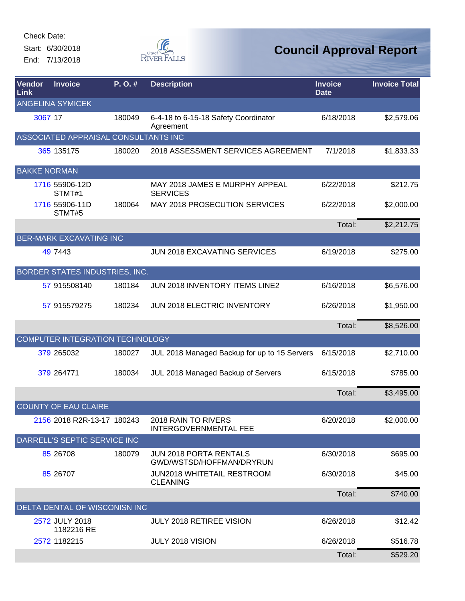Start: 6/30/2018 End: 7/13/2018



| <b>Vendor</b><br>Link | <b>Invoice</b>                       | P.O.#  | <b>Description</b>                                        | <b>Invoice</b><br><b>Date</b> | <b>Invoice Total</b> |
|-----------------------|--------------------------------------|--------|-----------------------------------------------------------|-------------------------------|----------------------|
|                       | <b>ANGELINA SYMICEK</b>              |        |                                                           |                               |                      |
| 3067 17               |                                      | 180049 | 6-4-18 to 6-15-18 Safety Coordinator<br>Agreement         | 6/18/2018                     | \$2,579.06           |
|                       | ASSOCIATED APPRAISAL CONSULTANTS INC |        |                                                           |                               |                      |
|                       | 365 135175                           | 180020 | 2018 ASSESSMENT SERVICES AGREEMENT                        | 7/1/2018                      | \$1,833.33           |
| <b>BAKKE NORMAN</b>   |                                      |        |                                                           |                               |                      |
|                       | 1716 55906-12D<br>STMT#1             |        | MAY 2018 JAMES E MURPHY APPEAL<br><b>SERVICES</b>         | 6/22/2018                     | \$212.75             |
|                       | 1716 55906-11D<br>STMT#5             | 180064 | MAY 2018 PROSECUTION SERVICES                             | 6/22/2018                     | \$2,000.00           |
|                       |                                      |        |                                                           | Total:                        | \$2,212.75           |
|                       | <b>BER-MARK EXCAVATING INC</b>       |        |                                                           |                               |                      |
|                       | 49 7443                              |        | <b>JUN 2018 EXCAVATING SERVICES</b>                       | 6/19/2018                     | \$275.00             |
|                       | BORDER STATES INDUSTRIES, INC.       |        |                                                           |                               |                      |
|                       | 57 915508140                         | 180184 | <b>JUN 2018 INVENTORY ITEMS LINE2</b>                     | 6/16/2018                     | \$6,576.00           |
|                       | 57 915579275                         | 180234 | JUN 2018 ELECTRIC INVENTORY                               | 6/26/2018                     | \$1,950.00           |
|                       |                                      |        |                                                           | Total:                        | \$8,526.00           |
|                       | COMPUTER INTEGRATION TECHNOLOGY      |        |                                                           |                               |                      |
|                       | 379 265032                           | 180027 | JUL 2018 Managed Backup for up to 15 Servers              | 6/15/2018                     | \$2,710.00           |
|                       | 379 264771                           | 180034 | JUL 2018 Managed Backup of Servers                        | 6/15/2018                     | \$785.00             |
|                       |                                      |        |                                                           | Total:                        | \$3,495.00           |
|                       | <b>COUNTY OF EAU CLAIRE</b>          |        |                                                           |                               |                      |
|                       | 2156 2018 R2R-13-17 180243           |        | 2018 RAIN TO RIVERS<br>INTERGOVERNMENTAL FEE              | 6/20/2018                     | \$2,000.00           |
|                       | DARRELL'S SEPTIC SERVICE INC         |        |                                                           |                               |                      |
|                       | 85 26708                             | 180079 | <b>JUN 2018 PORTA RENTALS</b><br>GWD/WSTSD/HOFFMAN/DRYRUN | 6/30/2018                     | \$695.00             |
|                       | 85 26707                             |        | <b>JUN2018 WHITETAIL RESTROOM</b><br><b>CLEANING</b>      | 6/30/2018                     | \$45.00              |
|                       |                                      |        |                                                           | Total:                        | \$740.00             |
|                       | DELTA DENTAL OF WISCONISN INC        |        |                                                           |                               |                      |
|                       | 2572 JULY 2018<br>1182216 RE         |        | <b>JULY 2018 RETIREE VISION</b>                           | 6/26/2018                     | \$12.42              |
|                       | 2572 1182215                         |        | JULY 2018 VISION                                          | 6/26/2018                     | \$516.78             |
|                       |                                      |        |                                                           | Total:                        | \$529.20             |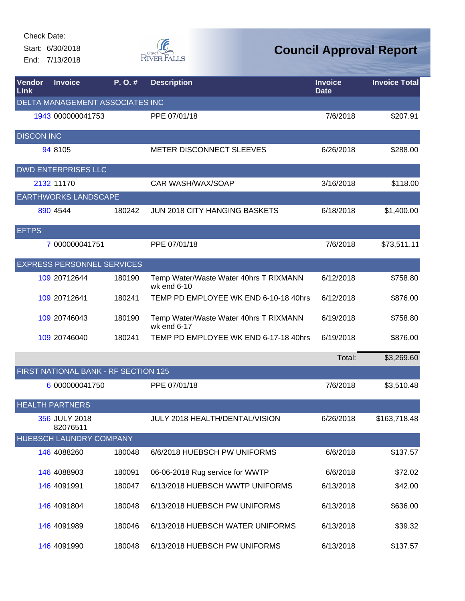Start: 6/30/2018 End: 7/13/2018



| Vendor<br>Link          | <b>Invoice</b>                         | P.O.#  | <b>Description</b>                                    | <b>Invoice</b><br><b>Date</b> | <b>Invoice Total</b> |  |  |
|-------------------------|----------------------------------------|--------|-------------------------------------------------------|-------------------------------|----------------------|--|--|
|                         | <b>DELTA MANAGEMENT ASSOCIATES INC</b> |        |                                                       |                               |                      |  |  |
|                         | 1943 000000041753                      |        | PPE 07/01/18                                          | 7/6/2018                      | \$207.91             |  |  |
| <b>DISCON INC</b>       |                                        |        |                                                       |                               |                      |  |  |
|                         | 94 8105                                |        | METER DISCONNECT SLEEVES                              | 6/26/2018                     | \$288.00             |  |  |
|                         | <b>DWD ENTERPRISES LLC</b>             |        |                                                       |                               |                      |  |  |
|                         | 2132 11170                             |        | CAR WASH/WAX/SOAP                                     | 3/16/2018                     | \$118.00             |  |  |
|                         | <b>EARTHWORKS LANDSCAPE</b>            |        |                                                       |                               |                      |  |  |
|                         | 890 4544                               | 180242 | <b>JUN 2018 CITY HANGING BASKETS</b>                  | 6/18/2018                     | \$1,400.00           |  |  |
| <b>EFTPS</b>            |                                        |        |                                                       |                               |                      |  |  |
|                         | 7 000000041751                         |        | PPE 07/01/18                                          | 7/6/2018                      | \$73,511.11          |  |  |
|                         | <b>EXPRESS PERSONNEL SERVICES</b>      |        |                                                       |                               |                      |  |  |
|                         | 109 20712644                           | 180190 | Temp Water/Waste Water 40hrs T RIXMANN<br>wk end 6-10 | 6/12/2018                     | \$758.80             |  |  |
|                         | 109 20712641                           | 180241 | TEMP PD EMPLOYEE WK END 6-10-18 40hrs                 | 6/12/2018                     | \$876.00             |  |  |
|                         | 109 20746043                           | 180190 | Temp Water/Waste Water 40hrs T RIXMANN<br>wk end 6-17 | 6/19/2018                     | \$758.80             |  |  |
|                         | 109 20746040                           | 180241 | TEMP PD EMPLOYEE WK END 6-17-18 40hrs                 | 6/19/2018                     | \$876.00             |  |  |
|                         |                                        |        |                                                       | Total:                        | \$3,269.60           |  |  |
|                         | FIRST NATIONAL BANK - RF SECTION 125   |        |                                                       |                               |                      |  |  |
|                         | 6 000000041750                         |        | PPE 07/01/18                                          | 7/6/2018                      | \$3,510.48           |  |  |
|                         | <b>HEALTH PARTNERS</b>                 |        |                                                       |                               |                      |  |  |
|                         | 356 JULY 2018<br>82076511              |        | JULY 2018 HEALTH/DENTAL/VISION                        | 6/26/2018                     | \$163,718.48         |  |  |
| HUEBSCH LAUNDRY COMPANY |                                        |        |                                                       |                               |                      |  |  |
|                         | 146 4088260                            | 180048 | 6/6/2018 HUEBSCH PW UNIFORMS                          | 6/6/2018                      | \$137.57             |  |  |
|                         | 146 4088903                            | 180091 | 06-06-2018 Rug service for WWTP                       | 6/6/2018                      | \$72.02              |  |  |
|                         | 146 4091991                            | 180047 | 6/13/2018 HUEBSCH WWTP UNIFORMS                       | 6/13/2018                     | \$42.00              |  |  |
|                         | 146 4091804                            | 180048 | 6/13/2018 HUEBSCH PW UNIFORMS                         | 6/13/2018                     | \$636.00             |  |  |
|                         | 146 4091989                            | 180046 | 6/13/2018 HUEBSCH WATER UNIFORMS                      | 6/13/2018                     | \$39.32              |  |  |
|                         | 146 4091990                            | 180048 | 6/13/2018 HUEBSCH PW UNIFORMS                         | 6/13/2018                     | \$137.57             |  |  |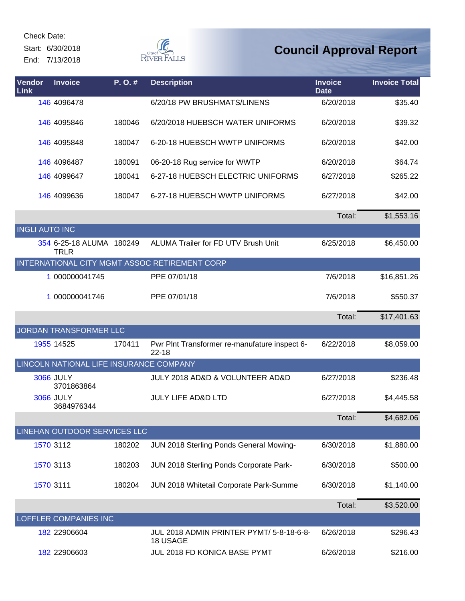Start: 6/30/2018

End: 7/13/2018



| <b>Vendor</b><br>Link | <b>Invoice</b>                                 | P.O.#  | <b>Description</b>                                         | <b>Invoice</b><br><b>Date</b> | <b>Invoice Total</b> |
|-----------------------|------------------------------------------------|--------|------------------------------------------------------------|-------------------------------|----------------------|
|                       | 146 4096478                                    |        | 6/20/18 PW BRUSHMATS/LINENS                                | 6/20/2018                     | \$35.40              |
|                       | 146 4095846                                    | 180046 | 6/20/2018 HUEBSCH WATER UNIFORMS                           | 6/20/2018                     | \$39.32              |
|                       | 146 4095848                                    | 180047 | 6-20-18 HUEBSCH WWTP UNIFORMS                              | 6/20/2018                     | \$42.00              |
|                       | 146 4096487                                    | 180091 | 06-20-18 Rug service for WWTP                              | 6/20/2018                     | \$64.74              |
|                       | 146 4099647                                    | 180041 | 6-27-18 HUEBSCH ELECTRIC UNIFORMS                          | 6/27/2018                     | \$265.22             |
|                       | 146 4099636                                    | 180047 | 6-27-18 HUEBSCH WWTP UNIFORMS                              | 6/27/2018                     | \$42.00              |
|                       |                                                |        |                                                            | Total:                        | \$1,553.16           |
| <b>INGLI AUTO INC</b> |                                                |        |                                                            |                               |                      |
|                       | 354 6-25-18 ALUMA 180249<br><b>TRLR</b>        |        | ALUMA Trailer for FD UTV Brush Unit                        | 6/25/2018                     | \$6,450.00           |
|                       |                                                |        | INTERNATIONAL CITY MGMT ASSOC RETIREMENT CORP              |                               |                      |
|                       | 1 000000041745                                 |        | PPE 07/01/18                                               | 7/6/2018                      | \$16,851.26          |
|                       | 1 000000041746                                 |        | PPE 07/01/18                                               | 7/6/2018                      | \$550.37             |
|                       |                                                |        |                                                            | Total:                        | \$17,401.63          |
|                       | JORDAN TRANSFORMER LLC                         |        |                                                            |                               |                      |
|                       | 1955 14525                                     | 170411 | Pwr Plnt Transformer re-manufature inspect 6-<br>$22 - 18$ | 6/22/2018                     | \$8,059.00           |
|                       | <b>LINCOLN NATIONAL LIFE INSURANCE COMPANY</b> |        |                                                            |                               |                      |
|                       | <b>3066 JULY</b><br>3701863864                 |        | JULY 2018 AD&D & VOLUNTEER AD&D                            | 6/27/2018                     | \$236.48             |
|                       | <b>3066 JULY</b><br>3684976344                 |        | <b>JULY LIFE AD&amp;D LTD</b>                              | 6/27/2018                     | \$4,445.58           |
|                       |                                                |        |                                                            | Total:                        | \$4,682.06           |
|                       | LINEHAN OUTDOOR SERVICES LLC                   |        |                                                            |                               |                      |
|                       | 1570 3112                                      | 180202 | JUN 2018 Sterling Ponds General Mowing-                    | 6/30/2018                     | \$1,880.00           |
|                       | 1570 3113                                      | 180203 | JUN 2018 Sterling Ponds Corporate Park-                    | 6/30/2018                     | \$500.00             |
|                       | 1570 3111                                      | 180204 | JUN 2018 Whitetail Corporate Park-Summe                    | 6/30/2018                     | \$1,140.00           |
|                       |                                                |        |                                                            | Total:                        | \$3,520.00           |
|                       | LOFFLER COMPANIES INC                          |        |                                                            |                               |                      |
|                       | 182 22906604                                   |        | JUL 2018 ADMIN PRINTER PYMT/ 5-8-18-6-8-<br>18 USAGE       | 6/26/2018                     | \$296.43             |
|                       | 182 22906603                                   |        | JUL 2018 FD KONICA BASE PYMT                               | 6/26/2018                     | \$216.00             |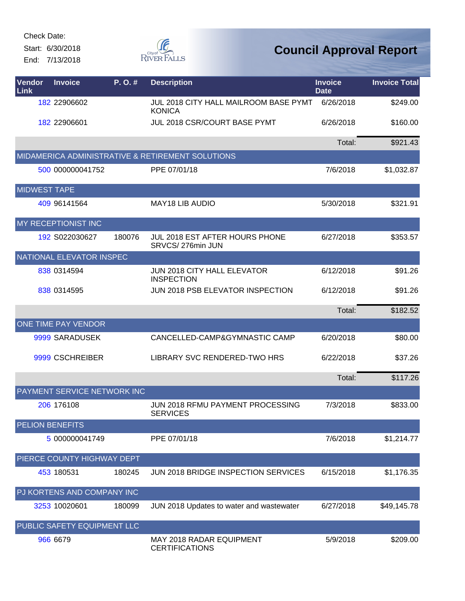Start: 6/30/2018 End: 7/13/2018



| <b>Vendor</b><br><b>Link</b> | <b>Invoice</b>              | P.O.#  | <b>Description</b>                                     | <b>Invoice</b><br><b>Date</b> | <b>Invoice Total</b> |
|------------------------------|-----------------------------|--------|--------------------------------------------------------|-------------------------------|----------------------|
|                              | 182 22906602                |        | JUL 2018 CITY HALL MAILROOM BASE PYMT<br><b>KONICA</b> | 6/26/2018                     | \$249.00             |
|                              | 182 22906601                |        | JUL 2018 CSR/COURT BASE PYMT                           | 6/26/2018                     | \$160.00             |
|                              |                             |        |                                                        | Total:                        | \$921.43             |
|                              |                             |        | MIDAMERICA ADMINISTRATIVE & RETIREMENT SOLUTIONS       |                               |                      |
|                              | 500 000000041752            |        | PPE 07/01/18                                           | 7/6/2018                      | \$1,032.87           |
| <b>MIDWEST TAPE</b>          |                             |        |                                                        |                               |                      |
|                              | 409 96141564                |        | <b>MAY18 LIB AUDIO</b>                                 | 5/30/2018                     | \$321.91             |
|                              | MY RECEPTIONIST INC         |        |                                                        |                               |                      |
|                              | 192 S022030627              | 180076 | JUL 2018 EST AFTER HOURS PHONE<br>SRVCS/276min JUN     | 6/27/2018                     | \$353.57             |
|                              | NATIONAL ELEVATOR INSPEC    |        |                                                        |                               |                      |
|                              | 838 0314594                 |        | JUN 2018 CITY HALL ELEVATOR<br><b>INSPECTION</b>       | 6/12/2018                     | \$91.26              |
|                              | 838 0314595                 |        | JUN 2018 PSB ELEVATOR INSPECTION                       | 6/12/2018                     | \$91.26              |
|                              |                             |        |                                                        | Total:                        | \$182.52             |
|                              | ONE TIME PAY VENDOR         |        |                                                        |                               |                      |
|                              | 9999 SARADUSEK              |        | CANCELLED-CAMP&GYMNASTIC CAMP                          | 6/20/2018                     | \$80.00              |
|                              | 9999 CSCHREIBER             |        | LIBRARY SVC RENDERED-TWO HRS                           | 6/22/2018                     | \$37.26              |
|                              |                             |        |                                                        | Total:                        | \$117.26             |
|                              | PAYMENT SERVICE NETWORK INC |        |                                                        |                               |                      |
|                              | 206 176108                  |        | JUN 2018 RFMU PAYMENT PROCESSING<br><b>SERVICES</b>    | 7/3/2018                      | \$833.00             |
| <b>PELION BENEFITS</b>       |                             |        |                                                        |                               |                      |
|                              | 5 000000041749              |        | PPE 07/01/18                                           | 7/6/2018                      | \$1,214.77           |
|                              | PIERCE COUNTY HIGHWAY DEPT  |        |                                                        |                               |                      |
|                              | 453 180531                  | 180245 | JUN 2018 BRIDGE INSPECTION SERVICES                    | 6/15/2018                     | \$1,176.35           |
|                              | PJ KORTENS AND COMPANY INC  |        |                                                        |                               |                      |
|                              | 3253 10020601               | 180099 | JUN 2018 Updates to water and wastewater               | 6/27/2018                     | \$49,145.78          |
|                              | PUBLIC SAFETY EQUIPMENT LLC |        |                                                        |                               |                      |
|                              | 966 6679                    |        | MAY 2018 RADAR EQUIPMENT<br><b>CERTIFICATIONS</b>      | 5/9/2018                      | \$209.00             |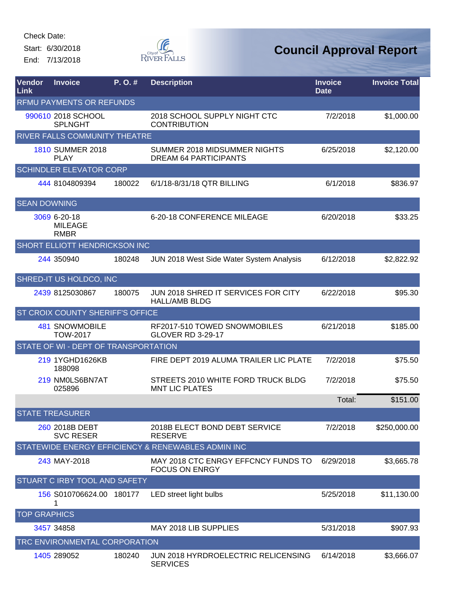Start: 6/30/2018 End: 7/13/2018



| <b>Vendor</b><br>Link    | <b>Invoice</b>                                | P.O.#  | <b>Description</b>                                           | <b>Invoice</b><br><b>Date</b> | <b>Invoice Total</b> |  |  |
|--------------------------|-----------------------------------------------|--------|--------------------------------------------------------------|-------------------------------|----------------------|--|--|
| RFMU PAYMENTS OR REFUNDS |                                               |        |                                                              |                               |                      |  |  |
|                          | 990610 2018 SCHOOL<br><b>SPLNGHT</b>          |        | 2018 SCHOOL SUPPLY NIGHT CTC<br><b>CONTRIBUTION</b>          | 7/2/2018                      | \$1,000.00           |  |  |
|                          | RIVER FALLS COMMUNITY THEATRE                 |        |                                                              |                               |                      |  |  |
|                          | <b>1810 SUMMER 2018</b><br><b>PLAY</b>        |        | SUMMER 2018 MIDSUMMER NIGHTS<br><b>DREAM 64 PARTICIPANTS</b> | 6/25/2018                     | \$2,120.00           |  |  |
|                          | <b>SCHINDLER ELEVATOR CORP</b>                |        |                                                              |                               |                      |  |  |
|                          | 444 8104809394                                | 180022 | 6/1/18-8/31/18 QTR BILLING                                   | 6/1/2018                      | \$836.97             |  |  |
| <b>SEAN DOWNING</b>      |                                               |        |                                                              |                               |                      |  |  |
|                          | 3069 6-20-18<br><b>MILEAGE</b><br><b>RMBR</b> |        | 6-20-18 CONFERENCE MILEAGE                                   | 6/20/2018                     | \$33.25              |  |  |
|                          | SHORT ELLIOTT HENDRICKSON INC                 |        |                                                              |                               |                      |  |  |
|                          | 244 350940                                    | 180248 | JUN 2018 West Side Water System Analysis                     | 6/12/2018                     | \$2,822.92           |  |  |
|                          | SHRED-IT US HOLDCO, INC                       |        |                                                              |                               |                      |  |  |
|                          | 2439 8125030867                               | 180075 | JUN 2018 SHRED IT SERVICES FOR CITY<br><b>HALL/AMB BLDG</b>  | 6/22/2018                     | \$95.30              |  |  |
|                          | ST CROIX COUNTY SHERIFF'S OFFICE              |        |                                                              |                               |                      |  |  |
|                          | 481 SNOWMOBILE<br><b>TOW-2017</b>             |        | RF2017-510 TOWED SNOWMOBILES<br><b>GLOVER RD 3-29-17</b>     | 6/21/2018                     | \$185.00             |  |  |
|                          | STATE OF WI - DEPT OF TRANSPORTATION          |        |                                                              |                               |                      |  |  |
|                          | 219 1YGHD1626KB<br>188098                     |        | FIRE DEPT 2019 ALUMA TRAILER LIC PLATE                       | 7/2/2018                      | \$75.50              |  |  |
|                          | 219 NM0LS6BN7AT<br>025896                     |        | STREETS 2010 WHITE FORD TRUCK BLDG<br><b>MNT LIC PLATES</b>  | 7/2/2018                      | \$75.50              |  |  |
|                          |                                               |        |                                                              | Total:                        | \$151.00             |  |  |
|                          | <b>STATE TREASURER</b>                        |        |                                                              |                               |                      |  |  |
|                          | 260 2018B DEBT<br><b>SVC RESER</b>            |        | 2018B ELECT BOND DEBT SERVICE<br><b>RESERVE</b>              | 7/2/2018                      | \$250,000.00         |  |  |
|                          |                                               |        | STATEWIDE ENERGY EFFICIENCY & RENEWABLES ADMIN INC           |                               |                      |  |  |
|                          | 243 MAY-2018                                  |        | MAY 2018 CTC ENRGY EFFCNCY FUNDS TO<br><b>FOCUS ON ENRGY</b> | 6/29/2018                     | \$3,665.78           |  |  |
|                          | STUART C IRBY TOOL AND SAFETY                 |        |                                                              |                               |                      |  |  |
|                          | 156 S010706624.00 180177                      |        | LED street light bulbs                                       | 5/25/2018                     | \$11,130.00          |  |  |
| <b>TOP GRAPHICS</b>      |                                               |        |                                                              |                               |                      |  |  |
|                          | 3457 34858                                    |        | MAY 2018 LIB SUPPLIES                                        | 5/31/2018                     | \$907.93             |  |  |
|                          | TRC ENVIRONMENTAL CORPORATION                 |        |                                                              |                               |                      |  |  |
|                          | 1405 289052                                   | 180240 | JUN 2018 HYRDROELECTRIC RELICENSING<br><b>SERVICES</b>       | 6/14/2018                     | \$3,666.07           |  |  |